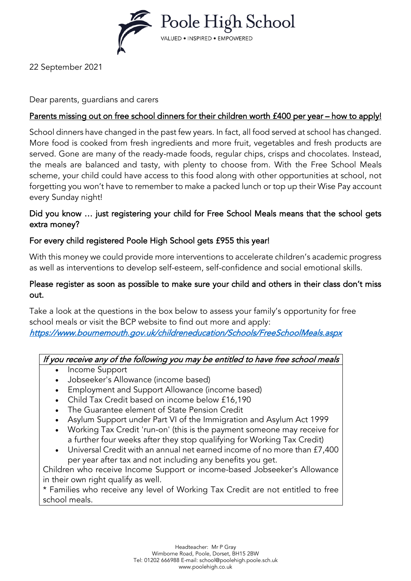

22 September 2021

### Dear parents, guardians and carers

# Parents missing out on free school dinners for their children worth £400 per year – how to apply!

School dinners have changed in the past few years. In fact, all food served at school has changed. More food is cooked from fresh ingredients and more fruit, vegetables and fresh products are served. Gone are many of the ready-made foods, regular chips, crisps and chocolates. Instead, the meals are balanced and tasty, with plenty to choose from. With the Free School Meals scheme, your child could have access to this food along with other opportunities at school, not forgetting you won't have to remember to make a packed lunch or top up their Wise Pay account every Sunday night!

## Did you know … just registering your child for Free School Meals means that the school gets extra money?

### For every child registered Poole High School gets £955 this year!

With this money we could provide more interventions to accelerate children's academic progress as well as interventions to develop self-esteem, self-confidence and social emotional skills.

#### Please register as soon as possible to make sure your child and others in their class don't miss out.

Take a look at the questions in the box below to assess your family's opportunity for free school meals or visit the BCP website to find out more and apply: <https://www.bournemouth.gov.uk/childreneducation/Schools/FreeSchoolMeals.aspx>

#### If you receive any of the following you may be entitled to have free school meals

- Income Support
- Jobseeker's Allowance (income based)
- Employment and Support Allowance (income based)
- Child Tax Credit based on income below £16,190
- The Guarantee element of State Pension Credit
- Asylum Support under Part VI of the Immigration and Asylum Act 1999
- Working Tax Credit 'run-on' (this is the payment someone may receive for a further four weeks after they stop qualifying for Working Tax Credit)
- Universal Credit with an annual net earned income of no more than £7,400 per year after tax and not including any benefits you get.

Children who receive Income Support or income-based Jobseeker's Allowance in their own right qualify as well.

\* Families who receive any level of Working Tax Credit are not entitled to free school meals.